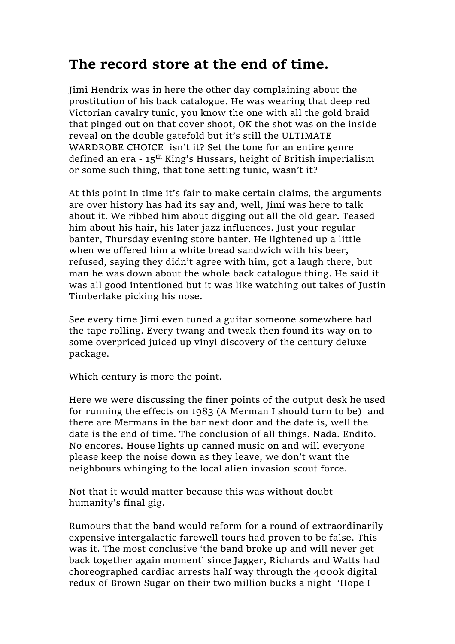## **The record store at the end of time.**

Jimi Hendrix was in here the other day complaining about the prostitution of his back catalogue. He was wearing that deep red Victorian cavalry tunic, you know the one with all the gold braid that pinged out on that cover shoot, OK the shot was on the inside reveal on the double gatefold but it's still the ULTIMATE WARDROBE CHOICE isn't it? Set the tone for an entire genre defined an era - 15<sup>th</sup> King's Hussars, height of British imperialism or some such thing, that tone setting tunic, wasn't it?

At this point in time it's fair to make certain claims, the arguments are over history has had its say and, well, Jimi was here to talk about it. We ribbed him about digging out all the old gear. Teased him about his hair, his later jazz influences. Just your regular banter, Thursday evening store banter. He lightened up a little when we offered him a white bread sandwich with his beer, refused, saying they didn't agree with him, got a laugh there, but man he was down about the whole back catalogue thing. He said it was all good intentioned but it was like watching out takes of Justin Timberlake picking his nose.

See every time Jimi even tuned a guitar someone somewhere had the tape rolling. Every twang and tweak then found its way on to some overpriced juiced up vinyl discovery of the century deluxe package.

Which century is more the point.

Here we were discussing the finer points of the output desk he used for running the effects on 1983 (A Merman I should turn to be) and there are Mermans in the bar next door and the date is, well the date is the end of time. The conclusion of all things. Nada. Endito. No encores. House lights up canned music on and will everyone please keep the noise down as they leave, we don't want the neighbours whinging to the local alien invasion scout force.

Not that it would matter because this was without doubt humanity's final gig.

Rumours that the band would reform for a round of extraordinarily expensive intergalactic farewell tours had proven to be false. This was it. The most conclusive 'the band broke up and will never get back together again moment' since Jagger, Richards and Watts had choreographed cardiac arrests half way through the 4000k digital redux of Brown Sugar on their two million bucks a night 'Hope I